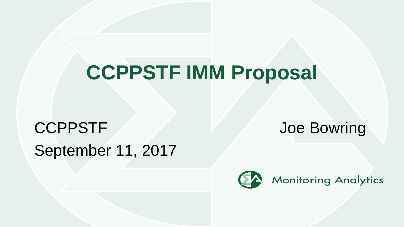# **CCPPSTF IMM Proposal**

# CCPPSTF Joe Bowring September 11, 2017

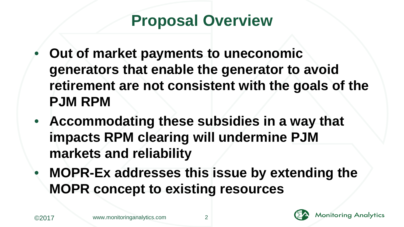#### **Proposal Overview**

- **Out of market payments to uneconomic generators that enable the generator to avoid retirement are not consistent with the goals of the PJM RPM**
- **Accommodating these subsidies in a way that impacts RPM clearing will undermine PJM markets and reliability**
- **MOPR-Ex addresses this issue by extending the MOPR concept to existing resources**

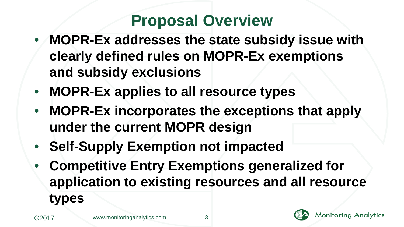# **Proposal Overview**

- **MOPR-Ex addresses the state subsidy issue with clearly defined rules on MOPR-Ex exemptions and subsidy exclusions**
- **MOPR-Ex applies to all resource types**
- **MOPR-Ex incorporates the exceptions that apply under the current MOPR design**
- **Self-Supply Exemption not impacted**
- **Competitive Entry Exemptions generalized for application to existing resources and all resource types**

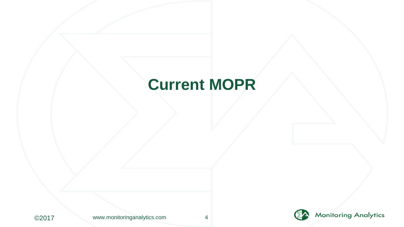#### **Current MOPR**





![](_page_3_Picture_4.jpeg)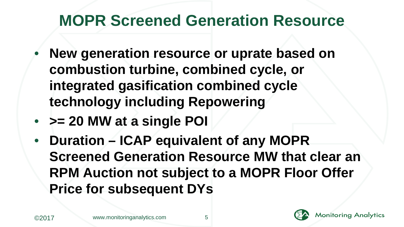#### **MOPR Screened Generation Resource**

- **New generation resource or uprate based on combustion turbine, combined cycle, or integrated gasification combined cycle technology including Repowering**
- **>= 20 MW at a single POI**
- **Duration ICAP equivalent of any MOPR Screened Generation Resource MW that clear an RPM Auction not subject to a MOPR Floor Offer Price for subsequent DYs**

![](_page_4_Picture_6.jpeg)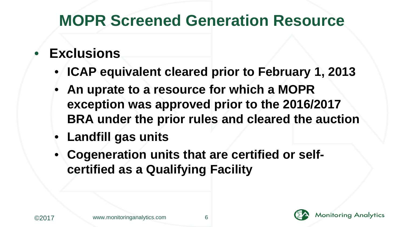#### **MOPR Screened Generation Resource**

#### • **Exclusions**

- **ICAP equivalent cleared prior to February 1, 2013**
- **An uprate to a resource for which a MOPR exception was approved prior to the 2016/2017 BRA under the prior rules and cleared the auction**
- **Landfill gas units**
- **Cogeneration units that are certified or selfcertified as a Qualifying Facility**

![](_page_5_Picture_6.jpeg)

![](_page_5_Picture_8.jpeg)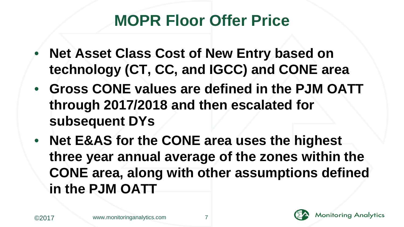# **MOPR Floor Offer Price**

- **Net Asset Class Cost of New Entry based on technology (CT, CC, and IGCC) and CONE area**
- **Gross CONE values are defined in the PJM OATT through 2017/2018 and then escalated for subsequent DYs**
- **Net E&AS for the CONE area uses the highest three year annual average of the zones within the CONE area, along with other assumptions defined in the PJM OATT**

![](_page_6_Picture_6.jpeg)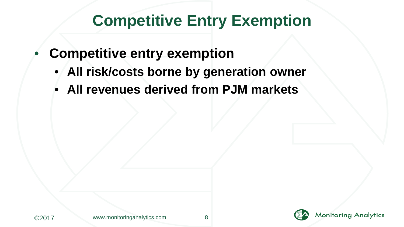#### **Competitive Entry Exemption**

- **Competitive entry exemption**
	- **All risk/costs borne by generation owner**
	- **All revenues derived from PJM markets**

![](_page_7_Picture_7.jpeg)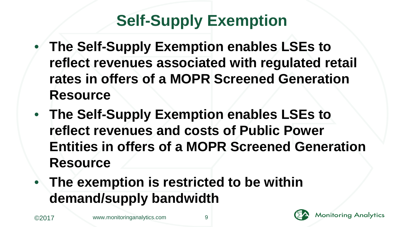# **Self-Supply Exemption**

- **The Self-Supply Exemption enables LSEs to reflect revenues associated with regulated retail rates in offers of a MOPR Screened Generation Resource**
- **The Self-Supply Exemption enables LSEs to reflect revenues and costs of Public Power Entities in offers of a MOPR Screened Generation Resource**
- **The exemption is restricted to be within demand/supply bandwidth**

![](_page_8_Picture_6.jpeg)

![](_page_8_Picture_7.jpeg)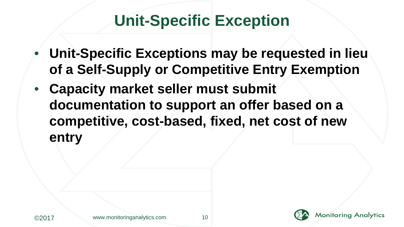### **Unit-Specific Exception**

- **Unit-Specific Exceptions may be requested in lieu of a Self-Supply or Competitive Entry Exemption**
- **Capacity market seller must submit documentation to support an offer based on a competitive, cost-based, fixed, net cost of new entry**

![](_page_9_Picture_6.jpeg)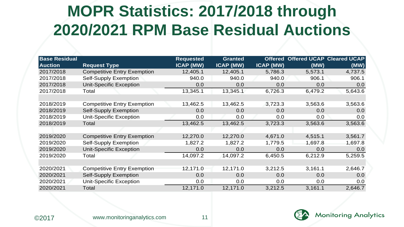# **MOPR Statistics: 2017/2018 through 2020/2021 RPM Base Residual Auctions**

| <b>Base Residual</b><br><b>Auction</b> | <b>Request Type</b>                | Requested<br><b>ICAP (MW)</b> | Granted<br>ICAP (MW) | <b>ICAP (MW)</b> | Offered Offered UCAP Cleared UCAP<br>(MW) | (MW)    |
|----------------------------------------|------------------------------------|-------------------------------|----------------------|------------------|-------------------------------------------|---------|
| 2017/2018                              | <b>Competitive Entry Exemption</b> | 12,405.1                      | 12,405.1             | 5,786.3          | 5,573.1                                   | 4,737.5 |
| 2017/2018                              | Self-Supply Exemption              | 940.0                         | 940.0                | 940.0            | 906.1                                     | 906.1   |
| 2017/2018                              | <b>Unit-Specific Exception</b>     | 0.0                           | 0.0                  | 0.0              | 0.0                                       | 0.0     |
| 2017/2018                              | Total                              | 13,345.1                      | 13,345.1             | 6,726.3          | 6,479.2                                   | 5,643.6 |
|                                        |                                    |                               |                      |                  |                                           |         |
| 2018/2019                              | <b>Competitive Entry Exemption</b> | 13,462.5                      | 13,462.5             | 3.723.3          | 3,563.6                                   | 3,563.6 |
| 2018/2019                              | Self-Supply Exemption              | 0.0                           | 0.0                  | 0.0              | 0.0                                       | 0.0     |
| 2018/2019                              | <b>Unit-Specific Exception</b>     | 0.0                           | 0.0                  | 0.0              | 0.0                                       | 0.0     |
| 2018/2019                              | Total                              | 13,462.5                      | 13,462.5             | 3,723.3          | 3,563.6                                   | 3,563.6 |
|                                        |                                    |                               |                      |                  |                                           |         |
| 2019/2020                              | <b>Competitive Entry Exemption</b> | 12,270.0                      | 12,270.0             | 4,671.0          | 4,515.1                                   | 3,561.7 |
| 2019/2020                              | Self-Supply Exemption              | 1,827.2                       | 1.827.2              | 1.779.5          | 1.697.8                                   | 1,697.8 |
| 2019/2020                              | Unit-Specific Exception            | 0.0                           | 0.0                  | 0.0              | 0.0                                       | 0.0     |
| 2019/2020                              | Total                              | 14,097.2                      | 14,097.2             | 6,450.5          | 6,212.9                                   | 5,259.5 |
|                                        |                                    |                               |                      |                  |                                           |         |
| 2020/2021                              | <b>Competitive Entry Exemption</b> | 12,171.0                      | 12,171.0             | 3,212.5          | 3,161.1                                   | 2,646.7 |
| 2020/2021                              | Self-Supply Exemption              | 0.0                           | 0.0                  | 0.0              | 0.0                                       | 0.0     |
| 2020/2021                              | Unit-Specific Exception            | 0.0                           | 0.0                  | 0.0              | 0.0                                       | 0.0     |
| 2020/2021                              | Total                              | 12,171.0                      | 12,171.0             | 3,212.5          | 3,161.1                                   | 2,646.7 |

![](_page_10_Picture_2.jpeg)

![](_page_10_Picture_5.jpeg)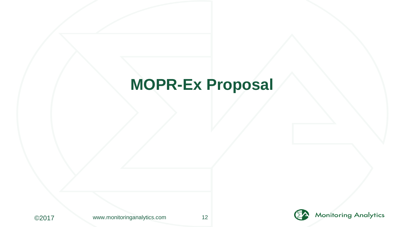#### **MOPR-Ex Proposal**

![](_page_11_Picture_1.jpeg)

![](_page_11_Picture_4.jpeg)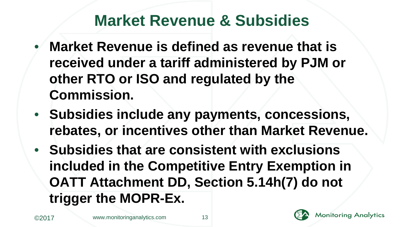#### **Market Revenue & Subsidies**

- **Market Revenue is defined as revenue that is received under a tariff administered by PJM or other RTO or ISO and regulated by the Commission.**
- **Subsidies include any payments, concessions, rebates, or incentives other than Market Revenue.**
- **Subsidies that are consistent with exclusions included in the Competitive Entry Exemption in OATT Attachment DD, Section 5.14h(7) do not trigger the MOPR-Ex.**

![](_page_12_Picture_6.jpeg)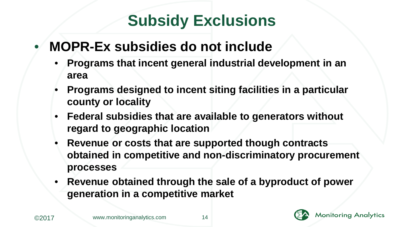# **Subsidy Exclusions**

#### • **MOPR-Ex subsidies do not include**

- **Programs that incent general industrial development in an area**
- **Programs designed to incent siting facilities in a particular county or locality**
- **Federal subsidies that are available to generators without regard to geographic location**
- **Revenue or costs that are supported though contracts obtained in competitive and non-discriminatory procurement processes**
- **Revenue obtained through the sale of a byproduct of power generation in a competitive market**

![](_page_13_Picture_7.jpeg)

![](_page_13_Picture_9.jpeg)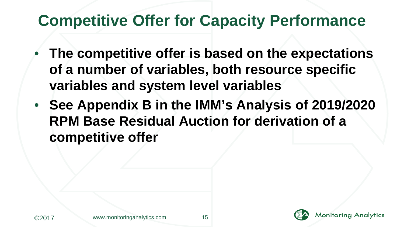### **Competitive Offer for Capacity Performance**

- **The competitive offer is based on the expectations of a number of variables, both resource specific variables and system level variables**
- **See Appendix B in the IMM's Analysis of 2019/2020 RPM Base Residual Auction for derivation of a competitive offer**

![](_page_14_Picture_5.jpeg)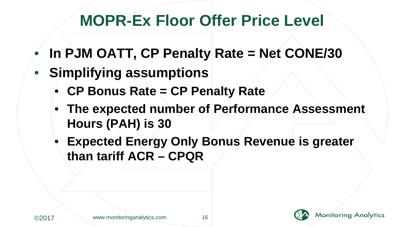# **MOPR-Ex Floor Offer Price Level**

- **In PJM OATT, CP Penalty Rate = Net CONE/30**
- **Simplifying assumptions**
	- **CP Bonus Rate = CP Penalty Rate**
	- **The expected number of Performance Assessment Hours (PAH) is 30**
	- **Expected Energy Only Bonus Revenue is greater than tariff ACR – CPQR**

![](_page_15_Picture_6.jpeg)

**Monitoring Analytics**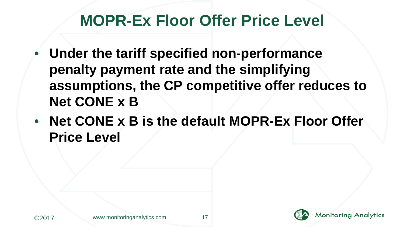#### **MOPR-Ex Floor Offer Price Level**

- **Under the tariff specified non-performance penalty payment rate and the simplifying assumptions, the CP competitive offer reduces to Net CONE x B**
- **Net CONE x B is the default MOPR-Ex Floor Offer Price Level**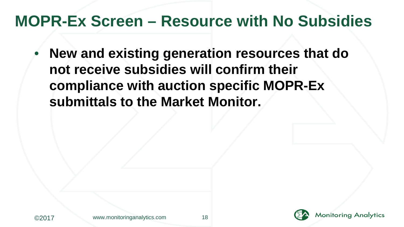#### **MOPR-Ex Screen – Resource with No Subsidies**

• **New and existing generation resources that do not receive subsidies will confirm their compliance with auction specific MOPR-Ex submittals to the Market Monitor.** 

![](_page_17_Picture_2.jpeg)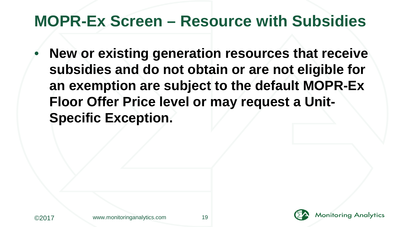#### **MOPR-Ex Screen – Resource with Subsidies**

• **New or existing generation resources that receive subsidies and do not obtain or are not eligible for an exemption are subject to the default MOPR-Ex Floor Offer Price level or may request a Unit-Specific Exception.**

![](_page_18_Picture_5.jpeg)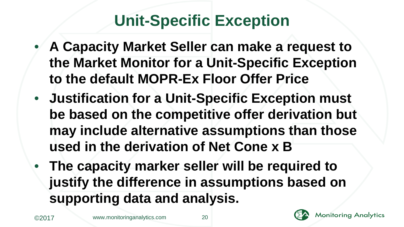# **Unit-Specific Exception**

- **A Capacity Market Seller can make a request to the Market Monitor for a Unit-Specific Exception to the default MOPR-Ex Floor Offer Price**
- **Justification for a Unit-Specific Exception must be based on the competitive offer derivation but may include alternative assumptions than those used in the derivation of Net Cone x B**
- **The capacity marker seller will be required to justify the difference in assumptions based on supporting data and analysis.**

![](_page_19_Picture_6.jpeg)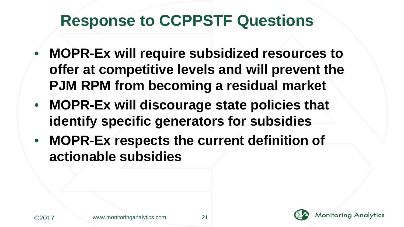## **Response to CCPPSTF Questions**

- **MOPR-Ex will require subsidized resources to offer at competitive levels and will prevent the PJM RPM from becoming a residual market**
- **MOPR-Ex will discourage state policies that identify specific generators for subsidies**
- **MOPR-Ex respects the current definition of actionable subsidies**

![](_page_20_Picture_4.jpeg)

**Monitoring Analytics**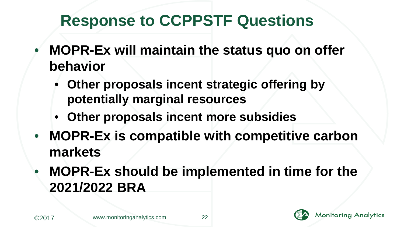# **Response to CCPPSTF Questions**

- **MOPR-Ex will maintain the status quo on offer behavior**
	- **Other proposals incent strategic offering by potentially marginal resources**
	- **Other proposals incent more subsidies**
- **MOPR-Ex is compatible with competitive carbon markets**
- **MOPR-Ex should be implemented in time for the 2021/2022 BRA**

![](_page_21_Picture_6.jpeg)

![](_page_21_Picture_9.jpeg)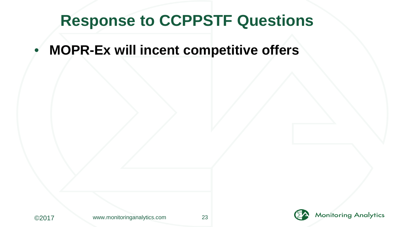#### **Response to CCPPSTF Questions**

• **MOPR-Ex will incent competitive offers**

![](_page_22_Picture_2.jpeg)

![](_page_22_Picture_5.jpeg)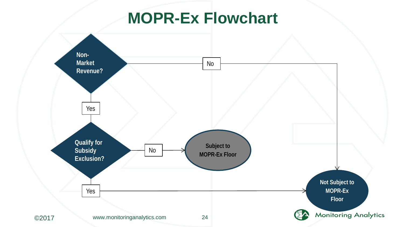#### **MOPR-Ex Flowchart**

![](_page_23_Figure_1.jpeg)